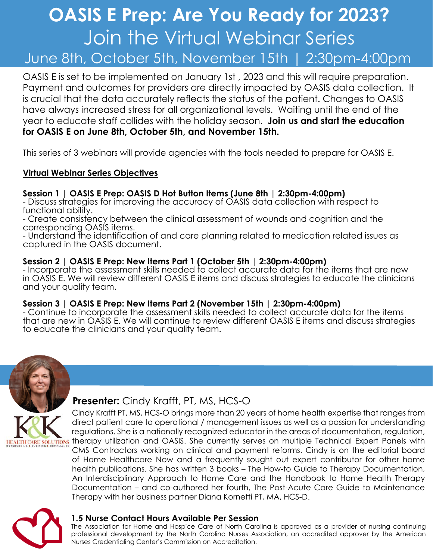# **OASIS E Prep: Are You Ready for 2023?** Join the Virtual Webinar Series June 8th, October 5th, November 15th | 2:30pm-4:00pm

OASIS E is set to be implemented on January 1st , 2023 and this will require preparation. Payment and outcomes for providers are directly impacted by OASIS data collection. It is crucial that the data accurately reflects the status of the patient. Changes to OASIS have always increased stress for all organizational levels. Waiting until the end of the year to educate staff collides with the holiday season. **Join us and start the education for OASIS E on June 8th, October 5th, and November 15th.** 

This series of 3 webinars will provide agencies with the tools needed to prepare for OASIS E.

### **Virtual Webinar Series Objectives**

## **Session 1 | OASIS E Prep: OASIS D Hot Button Items (June 8th | 2:30pm-4:00pm)**

- Discuss strategies for improving the accuracy of OASIS data collection with respect to functional ability.

- Create consistency between the clinical assessment of wounds and cognition and the corresponding OASIS items.

- Understand the identification of and care planning related to medication related issues as captured in the OASIS document.

#### **Session 2 | OASIS E Prep: New Items Part 1 (October 5th | 2:30pm-4:00pm)**

- Incorporate the assessment skills needed to collect accurate data for the items that are new in OASIS E. We will review different OASIS E items and discuss strategies to educate the clinicians and your quality team.

#### **Session 3 | OASIS E Prep: New Items Part 2 (November 15th | 2:30pm-4:00pm)**

- Continue to incorporate the assessment skills needed to collect accurate data for the items that are new in OASIS E. We will continue to review different OASIS E items and discuss strategies to educate the clinicians and your quality team.



## **Presenter:** Cindy Krafft, PT, MS, HCS-O

Cindy Krafft PT, MS, HCS-O brings more than 20 years of home health expertise that ranges from direct patient care to operational / management issues as well as a passion for understanding regulations. She is a nationally recognized educator in the areas of documentation, regulation, TRE SOLUTIONS therapy utilization and OASIS. She currently serves on multiple Technical Expert Panels with CMS Contractors working on clinical and payment reforms. Cindy is on the editorial board of Home Healthcare Now and a frequently sought out expert contributor for other home health publications. She has written 3 books – The How-to Guide to Therapy Documentation, An Interdisciplinary Approach to Home Care and the Handbook to Home Health Therapy Documentation – and co-authored her fourth, The Post-Acute Care Guide to Maintenance Therapy with her business partner Diana Kornetti PT, MA, HCS-D.



### **1.5 Nurse Contact Hours Available Per Session**

The Association for Home and Hospice Care of North Carolina is approved as a provider of nursing continuing professional development by the North Carolina Nurses Association, an accredited approver by the American Nurses Credentialing Center's Commission on Accreditation.